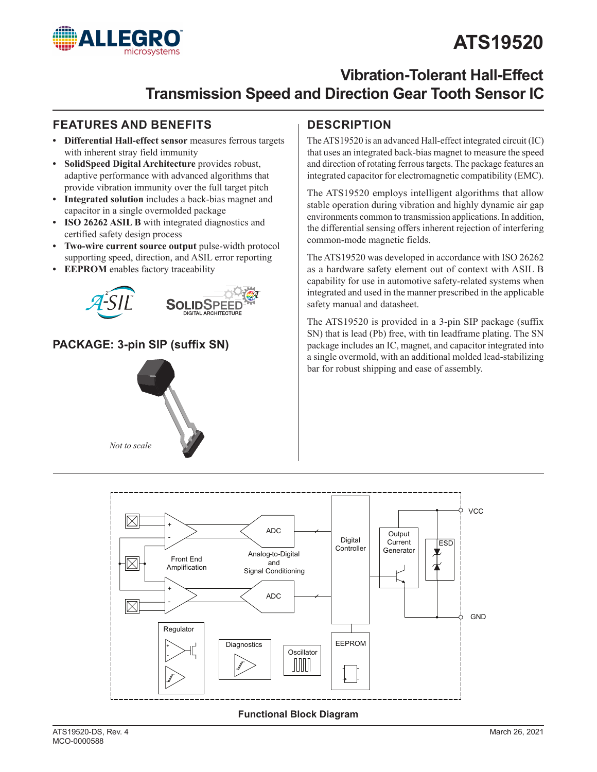# **ATS19520**



## **Vibration-Tolerant Hall-Effect Transmission Speed and Direction Gear Tooth Sensor IC**

### **FEATURES AND BENEFITS DESCRIPTION**

- **• Differential Hall-effect sensor** measures ferrous targets with inherent stray field immunity
- **• SolidSpeed Digital Architecture** provides robust, adaptive performance with advanced algorithms that provide vibration immunity over the full target pitch
- **• Integrated solution** includes a back-bias magnet and capacitor in a single overmolded package
- **• ISO 26262 ASIL B** with integrated diagnostics and certified safety design process
- **• Two-wire current source output** pulse-width protocol supporting speed, direction, and ASIL error reporting
- **• EEPROM** enables factory traceability



## **PACKAGE: 3-pin SIP (suffix SN)**



The ATS19520 is an advanced Hall-effect integrated circuit (IC) that uses an integrated back-bias magnet to measure the speed and direction of rotating ferrous targets. The package features an integrated capacitor for electromagnetic compatibility (EMC).

The ATS19520 employs intelligent algorithms that allow stable operation during vibration and highly dynamic air gap environments common to transmission applications. In addition, the differential sensing offers inherent rejection of interfering common-mode magnetic fields.

The ATS19520 was developed in accordance with ISO 26262 as a hardware safety element out of context with ASIL B capability for use in automotive safety-related systems when integrated and used in the manner prescribed in the applicable safety manual and datasheet.

The ATS19520 is provided in a 3-pin SIP package (suffix SN) that is lead (Pb) free, with tin leadframe plating. The SN package includes an IC, magnet, and capacitor integrated into a single overmold, with an additional molded lead-stabilizing bar for robust shipping and ease of assembly.



### **Functional Block Diagram**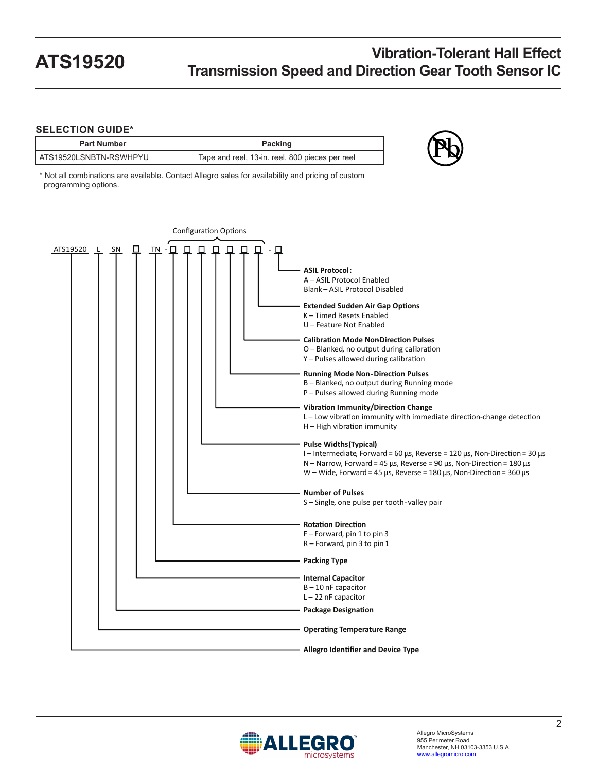### **SELECTION GUIDE\***

| <b>Part Number</b>     | Packing                                         |
|------------------------|-------------------------------------------------|
| ATS19520LSNBTN-RSWHPYU | Tape and reel, 13-in. reel, 800 pieces per reel |

\* Not all combinations are available. Contact Allegro sales for availability and pricing of custom programming options.



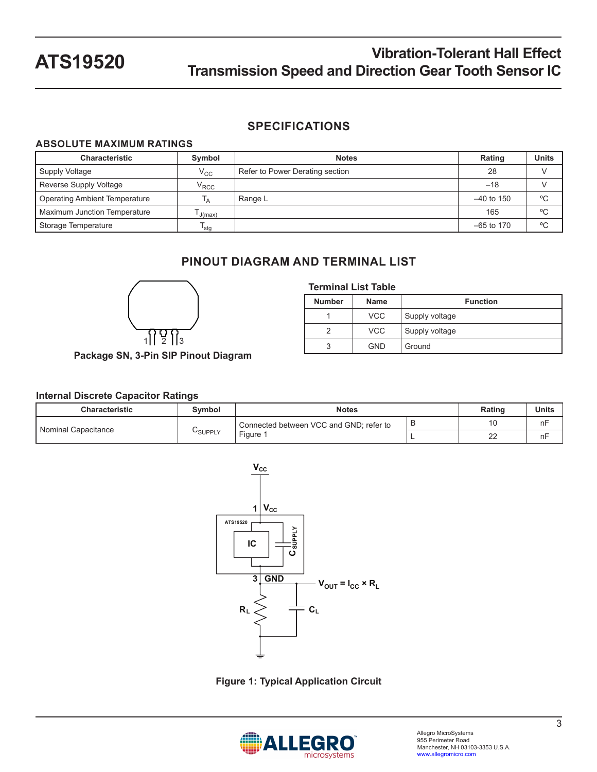### **SPECIFICATIONS**

### **ABSOLUTE MAXIMUM RATINGS**

| <b>Characteristic</b>                | Symbol            | <b>Notes</b>                    | Rating       | <b>Units</b> |
|--------------------------------------|-------------------|---------------------------------|--------------|--------------|
| Supply Voltage                       | $\rm V_{CC}$      | Refer to Power Derating section | 28           |              |
| Reverse Supply Voltage               | $\rm V_{\rm RCC}$ |                                 | $-18$        |              |
| <b>Operating Ambient Temperature</b> | Īд                | Range L                         | $-40$ to 150 | °C           |
| Maximum Junction Temperature         | J(max)            |                                 | 165          | °C           |
| Storage Temperature                  | <sup>1</sup> stq  |                                 | $-65$ to 170 | °C           |

## **PINOUT DIAGRAM AND TERMINAL LIST**

**Terminal List Table**

**Number Name Function**

1 | VCC | Supply voltage 2 | VCC | Supply voltage



## **Package SN, 3-Pin SIP Pinout Diagram**

### **Internal Discrete Capacitor Ratings**

| <b>Characteristic</b> | Symbol         | <b>Notes</b>                                                       | Rating | Units |    |
|-----------------------|----------------|--------------------------------------------------------------------|--------|-------|----|
| Nominal Capacitance   |                | В<br>Connected between VCC and GND; refer to<br>Figure<br>n r<br>∼ |        |       | nF |
|                       | <b>USUPPLY</b> |                                                                    | nF     |       |    |



**Figure 1: Typical Application Circuit**

<span id="page-2-0"></span>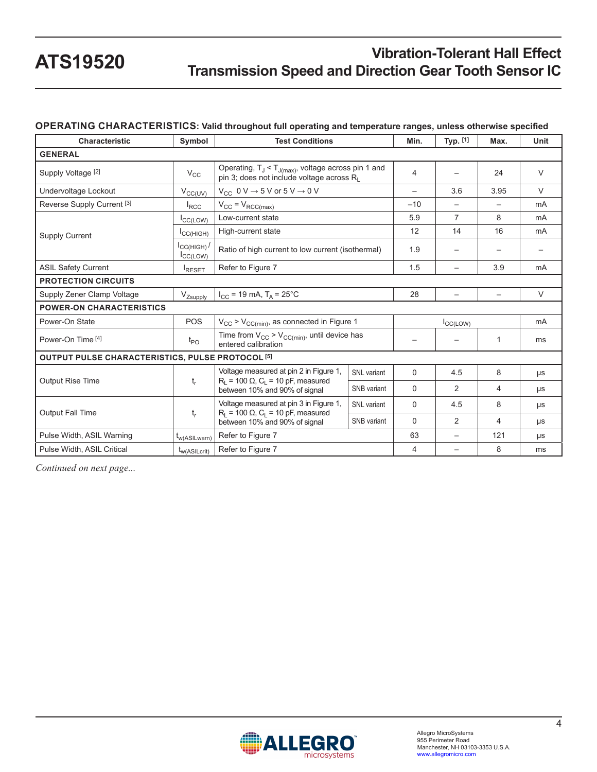### **OPERATING CHARACTERISTICS: Valid throughout full operating and temperature ranges, unless otherwise specified**

| <b>Characteristic</b>                            | Symbol                           | <b>Test Conditions</b>                                                                                   | Min.               | Typ. [1]                 | Max.                     | Unit   |        |
|--------------------------------------------------|----------------------------------|----------------------------------------------------------------------------------------------------------|--------------------|--------------------------|--------------------------|--------|--------|
| <b>GENERAL</b>                                   |                                  |                                                                                                          |                    |                          |                          |        |        |
| Supply Voltage [2]                               | $V_{\rm CC}$                     | Operating, $T_J < T_{J(max)}$ , voltage across pin 1 and<br>pin 3; does not include voltage across $R_1$ | 4                  |                          | 24                       | $\vee$ |        |
| Undervoltage Lockout                             | $V_{CC(UV)}$                     | $V_{CC}$ 0 V $\rightarrow$ 5 V or 5 V $\rightarrow$ 0 V                                                  |                    | $\overline{\phantom{0}}$ | 3.6                      | 3.95   | $\vee$ |
| Reverse Supply Current <sup>[3]</sup>            | $I_{\text{RCC}}$                 | $V_{CC} = V_{RCC(max)}$                                                                                  |                    | $-10$                    |                          |        | mA     |
|                                                  | ICC(LOW)                         | Low-current state                                                                                        |                    | 5.9                      | 7                        | 8      | mA     |
| <b>Supply Current</b>                            | ICCHIGH)                         | High-current state                                                                                       |                    | 12                       | 14                       | 16     | mA     |
|                                                  | ICCHIGH<br>I <sub>CC</sub> (LOW) | Ratio of high current to low current (isothermal)                                                        |                    | 1.9                      |                          |        |        |
| <b>ASIL Safety Current</b>                       | RESET                            | Refer to Figure 7                                                                                        |                    | 1.5                      | $\overline{\phantom{0}}$ | 3.9    | mA     |
| <b>PROTECTION CIRCUITS</b>                       |                                  |                                                                                                          |                    |                          |                          |        |        |
| Supply Zener Clamp Voltage                       | V <sub>Zsupply</sub>             | $I_{CC}$ = 19 mA, $T_A$ = 25°C                                                                           |                    | 28                       |                          |        | $\vee$ |
| <b>POWER-ON CHARACTERISTICS</b>                  |                                  |                                                                                                          |                    |                          |                          |        |        |
| Power-On State                                   | POS                              | $V_{CC}$ > $V_{CC(min)}$ , as connected in Figure 1                                                      |                    | CC(LOW)                  |                          |        | mA     |
| Power-On Time [4]                                | $t_{PO}$                         | Time from $V_{CC}$ > $V_{CC(min)}$ , until device has<br>entered calibration                             |                    |                          |                          | 1      | ms     |
| OUTPUT PULSE CHARACTERISTICS, PULSE PROTOCOL [5] |                                  |                                                                                                          |                    |                          |                          |        |        |
|                                                  |                                  | Voltage measured at pin 2 in Figure 1,                                                                   | SNL variant        | $\Omega$                 | 4.5                      | 8      | μs     |
| <b>Output Rise Time</b>                          | $t_{r}$                          | $R_1 = 100 \Omega$ , C <sub>1</sub> = 10 pF, measured<br>between 10% and 90% of signal                   | SNB variant        | $\Omega$                 | 2                        | 4      | μs     |
|                                                  |                                  | Voltage measured at pin 3 in Figure 1,                                                                   | <b>SNL</b> variant | $\Omega$                 | 4.5                      | 8      | μs     |
| Output Fall Time                                 | $t_{r}$                          | $R_1 = 100 \Omega$ , C <sub>1</sub> = 10 pF, measured<br>SNB variant<br>between 10% and 90% of signal    |                    | $\Omega$                 | 2                        | 4      | μs     |
| Pulse Width, ASIL Warning                        | t <sub>w</sub> (ASILwarn)        | Refer to Figure 7                                                                                        |                    | 63                       |                          | 121    | μs     |
| Pulse Width, ASIL Critical                       | <sup>I</sup> w(ASILcrit)         | Refer to Figure 7                                                                                        |                    | 4                        |                          | 8      | ms     |

*Continued on next page...*

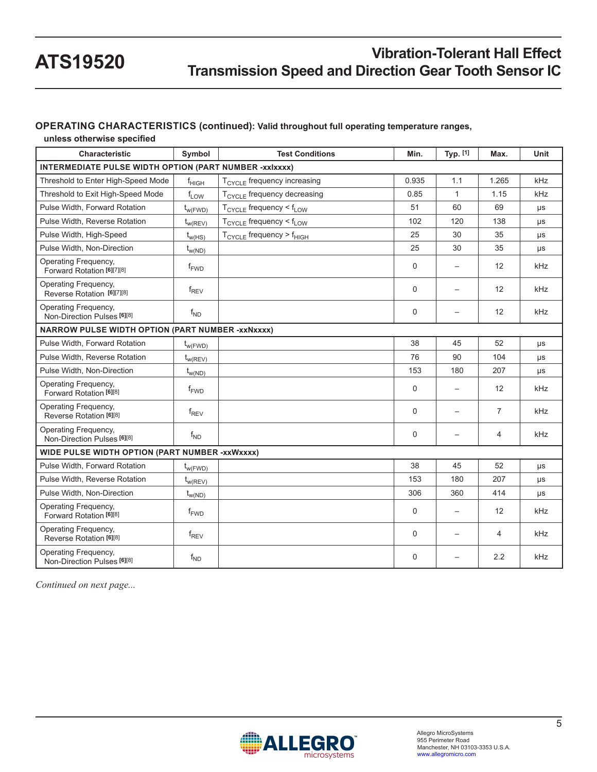### **OPERATING CHARACTERISTICS (continued): Valid throughout full operating temperature ranges,**

**unless otherwise specified**

| <b>Characteristic</b>                                         | Symbol             | <b>Test Conditions</b>                           | Min.     | Typ. [1]                 | Max.           | Unit    |
|---------------------------------------------------------------|--------------------|--------------------------------------------------|----------|--------------------------|----------------|---------|
| <b>INTERMEDIATE PULSE WIDTH OPTION (PART NUMBER -xxlxxxx)</b> |                    |                                                  |          |                          |                |         |
| Threshold to Enter High-Speed Mode                            | $f_{HIGH}$         | $T_{\text{CYCI E}}$ frequency increasing         | 0.935    | 1.1                      | 1.265          | kHz     |
| Threshold to Exit High-Speed Mode                             | $f_{LOW}$          | T <sub>CYCLE</sub> frequency decreasing          | 0.85     | 1                        | 1.15           | kHz     |
| Pulse Width, Forward Rotation                                 | $t_{w(FWD)}$       | $T_{\text{CYCLE}}$ frequency < $f_{\text{LOW}}$  | 51       | 60                       | 69             | μs      |
| Pulse Width, Reverse Rotation                                 | $t_{w(REV)}$       | $T_{\text{CYCLE}}$ frequency < $f_{\text{LOW}}$  | 102      | 120                      | 138            | μs      |
| Pulse Width, High-Speed                                       | $t_{w(HS)}$        | $T_{\text{CYCLE}}$ frequency > $f_{\text{HIGH}}$ | 25       | 30                       | 35             | μs      |
| Pulse Width, Non-Direction                                    | $t_{w(ND)}$        |                                                  | 25       | 30                       | 35             | μs      |
| Operating Frequency,<br>Forward Rotation [6][7][8]            | $f_{FWD}$          |                                                  | 0        |                          | 12             | kHz     |
| Operating Frequency,<br>Reverse Rotation [6][7][8]            | $f_{\mathsf{REV}}$ |                                                  | $\Omega$ |                          | 12             | kHz     |
| Operating Frequency,<br>Non-Direction Pulses [6][8]           | $f_{ND}$           |                                                  | 0        |                          | 12             | kHz     |
| <b>NARROW PULSE WIDTH OPTION (PART NUMBER -xxNxxxx)</b>       |                    |                                                  |          |                          |                |         |
| Pulse Width, Forward Rotation                                 | $t_{w(FWD)}$       |                                                  | 38       | 45                       | 52             | μs      |
| Pulse Width, Reverse Rotation                                 | $t_{w(REV)}$       |                                                  | 76       | 90                       | 104            | μs      |
| Pulse Width, Non-Direction                                    | $t_{w(ND)}$        |                                                  | 153      | 180                      | 207            | μs      |
| Operating Frequency,<br>Forward Rotation [6][8]               | $f_{\text{FWD}}$   |                                                  | $\Omega$ | $\equiv$                 | 12             | kHz     |
| Operating Frequency,<br>Reverse Rotation [6][8]               | $f_{REV}$          |                                                  | $\Omega$ | $\overline{\phantom{0}}$ | $\overline{7}$ | kHz     |
| Operating Frequency,<br>Non-Direction Pulses [6][8]           | $f_{ND}$           |                                                  | 0        |                          | 4              | kHz     |
| WIDE PULSE WIDTH OPTION (PART NUMBER -xxWxxxx)                |                    |                                                  |          |                          |                |         |
| Pulse Width, Forward Rotation                                 | $t_{w(FWD)}$       |                                                  | 38       | 45                       | 52             | μs      |
| Pulse Width, Reverse Rotation                                 | $t_{w(REV)}$       |                                                  | 153      | 180                      | 207            | μs      |
| Pulse Width, Non-Direction                                    | $t_{w(ND)}$        |                                                  | 306      | 360                      | 414            | $\mu s$ |
| Operating Frequency,<br>Forward Rotation [6][8]               | $f_{\text{FWD}}$   |                                                  | 0        |                          | 12             | kHz     |
| Operating Frequency,<br>Reverse Rotation [6][8]               | $f_{REV}$          |                                                  | $\Omega$ | $\equiv$                 | $\overline{4}$ | kHz     |
| Operating Frequency,<br>Non-Direction Pulses [6][8]           | $f_{ND}$           |                                                  | $\Omega$ |                          | 2.2            | kHz     |

*Continued on next page...*

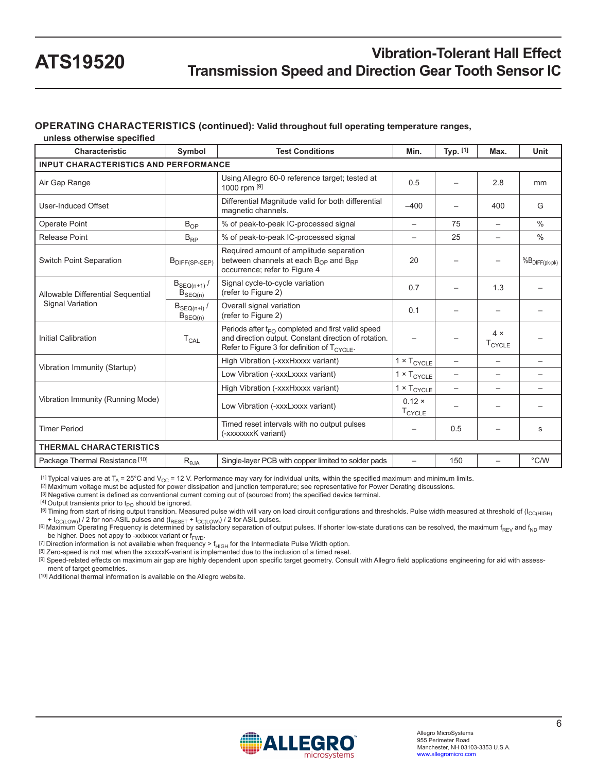### **OPERATING CHARACTERISTICS (continued): Valid throughout full operating temperature ranges,**

**unless otherwise specified**

| Characteristic                               | Symbol                           | <b>Test Conditions</b>                                                                                                                                                      | Min.                            | Typ. [1]                 | Max.                             | Unit                       |
|----------------------------------------------|----------------------------------|-----------------------------------------------------------------------------------------------------------------------------------------------------------------------------|---------------------------------|--------------------------|----------------------------------|----------------------------|
| <b>INPUT CHARACTERISTICS AND PERFORMANCE</b> |                                  |                                                                                                                                                                             |                                 |                          |                                  |                            |
| Air Gap Range                                |                                  | Using Allegro 60-0 reference target; tested at<br>1000 rpm [9]                                                                                                              | 0.5                             |                          | 2.8                              | mm                         |
| <b>User-Induced Offset</b>                   |                                  | Differential Magnitude valid for both differential<br>magnetic channels.                                                                                                    | $-400$                          |                          | 400                              | G                          |
| Operate Point                                | $B_{OP}$                         | % of peak-to-peak IC-processed signal                                                                                                                                       | $\overline{\phantom{0}}$        | 75                       | $\overline{\phantom{0}}$         | $\%$                       |
| Release Point                                | $B_{RP}$                         | % of peak-to-peak IC-processed signal                                                                                                                                       | $\overline{\phantom{0}}$        | 25                       | $\overline{\phantom{0}}$         | $\frac{0}{0}$              |
| <b>Switch Point Separation</b>               | B <sub>DIFF(SP-SEP)</sub>        | Required amount of amplitude separation<br>between channels at each $B_{\Omega P}$ and $B_{RP}$<br>occurrence; refer to Figure 4                                            | 20                              |                          |                                  | $\%B_{\text{DIFF}(pk-pk)}$ |
| Allowable Differential Sequential            | $B_{SEQ(n+1)}$ /<br>$B_{SEQ(n)}$ | Signal cycle-to-cycle variation<br>(refer to Figure 2)                                                                                                                      | 0.7                             |                          | 1.3                              |                            |
| <b>Signal Variation</b>                      | $B_{SEQ(n+i)}$ /<br>$B_{SEQ(n)}$ | Overall signal variation<br>(refer to Figure 2)                                                                                                                             | 0.1                             |                          |                                  |                            |
| Initial Calibration                          | $T_{CAL}$                        | Periods after $t_{PQ}$ completed and first valid speed<br>and direction output. Constant direction of rotation.<br>Refer to Figure 3 for definition of T <sub>CYCLE</sub> . |                                 |                          | $4 \times$<br>$T_{\text{CYCLE}}$ |                            |
|                                              |                                  | High Vibration (-xxxHxxxx variant)                                                                                                                                          | $1 \times T_{CYCLE}$            | $\overline{\phantom{0}}$ |                                  |                            |
| Vibration Immunity (Startup)                 |                                  | Low Vibration (-xxxLxxxx variant)                                                                                                                                           | $1 \times T_{CYCLE}$            |                          |                                  |                            |
|                                              |                                  | High Vibration (-xxxHxxxx variant)                                                                                                                                          | $1 \times T_{CYCLE}$            | $\overline{\phantom{0}}$ |                                  |                            |
| Vibration Immunity (Running Mode)            |                                  | Low Vibration (-xxxLxxxx variant)                                                                                                                                           | $0.12 \times$<br><b>T</b> CYCLE |                          |                                  |                            |
| <b>Timer Period</b>                          |                                  | Timed reset intervals with no output pulses<br>(-xxxxxxk variant)                                                                                                           |                                 | 0.5                      |                                  | s                          |
| <b>THERMAL CHARACTERISTICS</b>               |                                  |                                                                                                                                                                             |                                 |                          |                                  |                            |
| Package Thermal Resistance [10]              | $R_{\theta JA}$                  | Single-layer PCB with copper limited to solder pads                                                                                                                         | $\overline{\phantom{0}}$        | 150                      | $\overline{\phantom{m}}$         | °C/W                       |

<sup>[1]</sup> Typical values are at T<sub>A</sub> = 25°C and V<sub>CC</sub> = 12 V. Performance may vary for individual units, within the specified maximum and minimum limits.

[2] Maximum voltage must be adjusted for power dissipation and junction temperature; see representative for Power Derating discussions.

[3] Negative current is defined as conventional current coming out of (sourced from) the specified device terminal.

 $[4]$  Output transients prior to  $t_{PO}$  should be ignored.

[5] Timing from start of rising output transition. Measured pulse width will vary on load circuit configurations and thresholds. Pulse width measured at threshold of (I<sub>CC/HIGH)</sub> + l<sub>CC(LOW)</sub> / 2 for non-ASIL pulses and (l<sub>RESET</sub> + l<sub>CC(LOW)</sub>) / 2 for ASIL pulses.<br><sup>[6]</sup> Maximum Operating Frequency is determined by satisfactory separation of output pulses. If shorter low-state durations can be reso

be higher. Does not appy to -xxIxxxx variant or  $f_{\text{FWD}}$ .<br><sup>[7]</sup> Direction information is not available when frequency >  $f_{\text{HIGH}}$  for the Intermediate Pulse Width option.

[8] Zero-speed is not met when the xxxxxxK-variant is implemented due to the inclusion of a timed reset.

[9] Speed-related effects on maximum air gap are highly dependent upon specific target geometry. Consult with Allegro field applications engineering for aid with assessment of target geometries.

[10] Additional thermal information is available on the Allegro website.

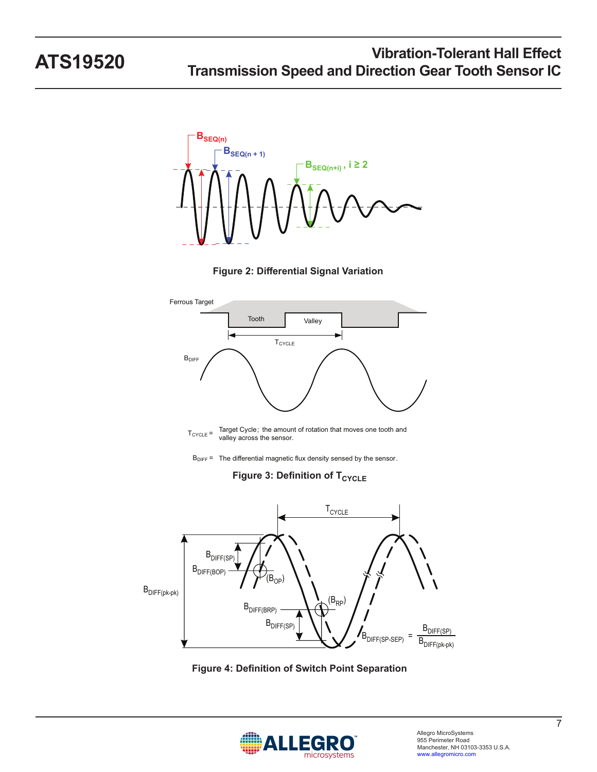

<span id="page-6-1"></span>





 $B_{\text{DIFF}}$  = The differential magnetic flux density sensed by the sensor.

<span id="page-6-2"></span>**Figure 3: Definition of T<sub>CYCLE</sub>** 



**Figure 4: Definition of Switch Point Separation**

<span id="page-6-0"></span>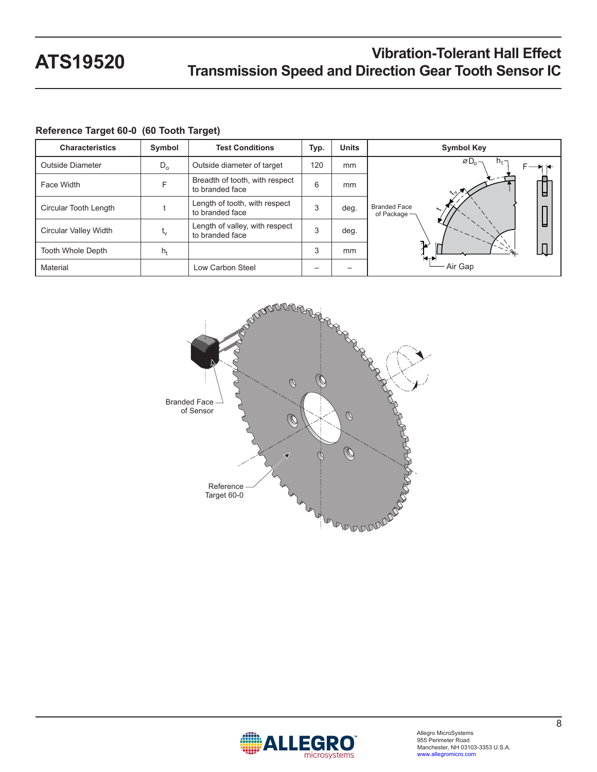| <b>Characteristics</b>  | Symbol                    | <b>Test Conditions</b>                            | Typ. | <b>Units</b> | <b>Symbol Key</b>                       |
|-------------------------|---------------------------|---------------------------------------------------|------|--------------|-----------------------------------------|
| <b>Outside Diameter</b> | $D_{o}$                   | Outside diameter of target                        | 120  | mm           | $\varnothing$ D <sub>0</sub><br>$h_t$ - |
| Face Width              | F                         | Breadth of tooth, with respect<br>to branded face | 6    | mm           | ヘシパ<br>Н                                |
| Circular Tooth Length   |                           | Length of tooth, with respect<br>to branded face  | 3    | deg.         | <b>Branded Face</b><br>of Package -     |
| Circular Valley Width   | $\mathsf{t}_{\mathsf{V}}$ | Length of valley, with respect<br>to branded face | 3    | deg.         | н                                       |
| Tooth Whole Depth       | $h_{t}$                   |                                                   | 3    | mm           | 7 <sub>K</sub><br>H                     |
| Material                |                           | Low Carbon Steel                                  |      |              | Air Gap                                 |

### **Reference Target 60-0 (60 Tooth Target)**



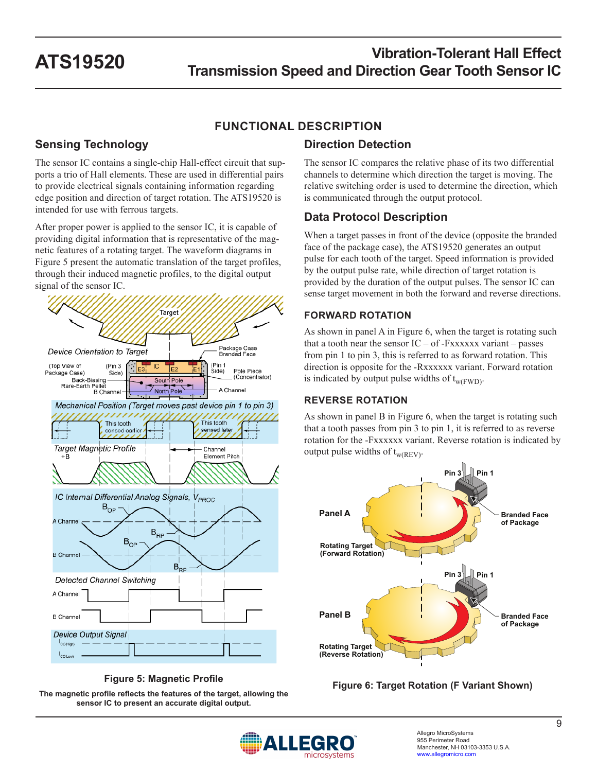## **FUNCTIONAL DESCRIPTION**

## **Sensing Technology**

The sensor IC contains a single-chip Hall-effect circuit that supports a trio of Hall elements. These are used in differential pairs to provide electrical signals containing information regarding edge position and direction of target rotation. The ATS19520 is intended for use with ferrous targets.

After proper power is applied to the sensor IC, it is capable of providing digital information that is representative of the magnetic features of a rotating target. The waveform diagrams in [Figure 5](#page-8-0) present the automatic translation of the target profiles, through their induced magnetic profiles, to the digital output signal of the sensor IC.



**Figure 5: Magnetic Profile**

**The magnetic profile reflects the features of the target, allowing the sensor IC to present an accurate digital output.**

## **Direction Detection**

The sensor IC compares the relative phase of its two differential channels to determine which direction the target is moving. The relative switching order is used to determine the direction, which is communicated through the output protocol.

## **Data Protocol Description**

When a target passes in front of the device (opposite the branded face of the package case), the ATS19520 generates an output pulse for each tooth of the target. Speed information is provided by the output pulse rate, while direction of target rotation is provided by the duration of the output pulses. The sensor IC can sense target movement in both the forward and reverse directions.

### **FORWARD ROTATION**

As shown in panel A in [Figure 6](#page-8-1), when the target is rotating such that a tooth near the sensor  $IC - of$ -Fxxxxxx variant – passes from pin 1 to pin 3, this is referred to as forward rotation. This direction is opposite for the -Rxxxxxx variant. Forward rotation is indicated by output pulse widths of  $t_{w(FWD)}$ .

### **REVERSE ROTATION**

As shown in panel B in [Figure 6,](#page-8-1) when the target is rotating such that a tooth passes from pin 3 to pin 1, it is referred to as reverse rotation for the -Fxxxxxx variant. Reverse rotation is indicated by output pulse widths of  $t_{w(REV)}$ .



<span id="page-8-1"></span>

<span id="page-8-0"></span>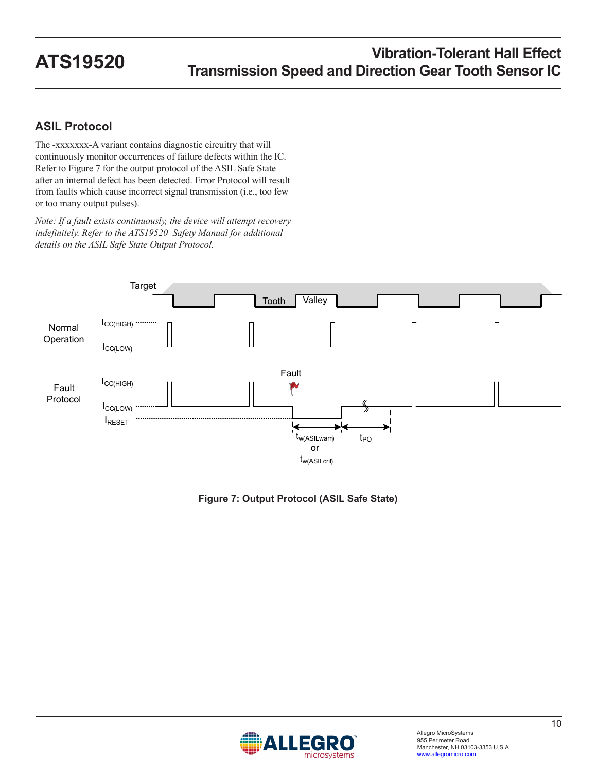## **ASIL Protocol**

The -xxxxxxx-A variant contains diagnostic circuitry that will continuously monitor occurrences of failure defects within the IC. Refer to [Figure 7](#page-9-0) for the output protocol of the ASIL Safe State after an internal defect has been detected. Error Protocol will result from faults which cause incorrect signal transmission (i.e., too few or too many output pulses).

*Note: If a fault exists continuously, the device will attempt recovery indefinitely. Refer to the ATS19520 Safety Manual for additional details on the ASIL Safe State Output Protocol.*



<span id="page-9-0"></span>**Figure 7: Output Protocol (ASIL Safe State)**

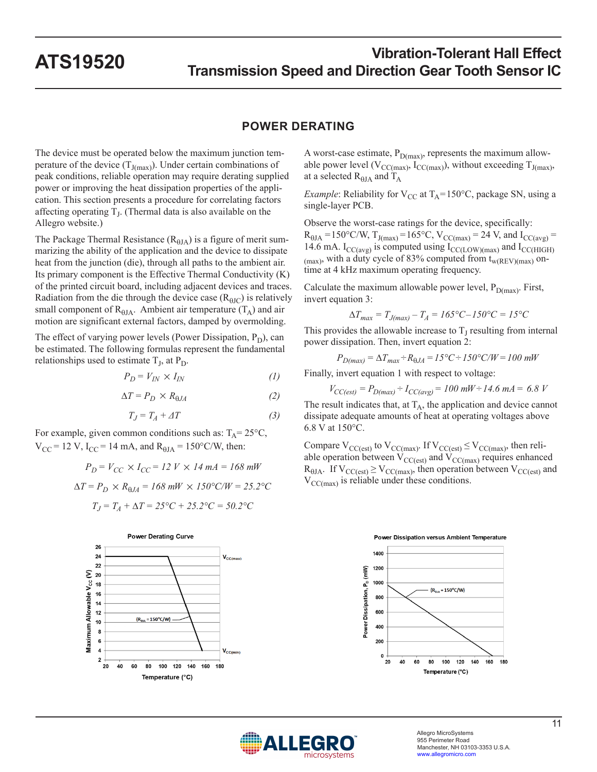### **POWER DERATING**

The device must be operated below the maximum junction temperature of the device  $(T_{J(max)})$ . Under certain combinations of peak conditions, reliable operation may require derating supplied power or improving the heat dissipation properties of the application. This section presents a procedure for correlating factors affecting operating  $T_J$ . (Thermal data is also available on the Allegro website.)

The Package Thermal Resistance ( $R_{\theta JA}$ ) is a figure of merit summarizing the ability of the application and the device to dissipate heat from the junction (die), through all paths to the ambient air. Its primary component is the Effective Thermal Conductivity (K) of the printed circuit board, including adjacent devices and traces. Radiation from the die through the device case  $(R<sub>BIC</sub>)$  is relatively small component of  $R_{\theta JA}$ . Ambient air temperature  $(T_A)$  and air motion are significant external factors, damped by overmolding.

The effect of varying power levels (Power Dissipation,  $P_D$ ), can be estimated. The following formulas represent the fundamental relationships used to estimate  $T<sub>J</sub>$ , at  $P<sub>D</sub>$ .

$$
P_D = V_{IN} \times I_{IN} \tag{1}
$$

$$
\Delta T = P_D \times R_{\theta J A} \tag{2}
$$

$$
T_J = T_A + \varDelta T \tag{3}
$$

For example, given common conditions such as:  $T_A = 25^{\circ}C$ ,  $V_{CC}$  = 12 V, I<sub>CC</sub> = 14 mA, and R<sub> $\theta$ JA</sub> = 150°C/W, then:

$$
P_D = V_{CC} \times I_{CC} = 12 \ V \times 14 \ mA = 168 \ mW
$$

$$
\Delta T = P_D \times R_{\theta J A} = 168 \, \text{mW} \times 150^{\circ} \text{C/W} = 25.2^{\circ} \text{C}
$$
\n
$$
T_J = T_A + \Delta T = 25^{\circ} \text{C} + 25.2^{\circ} \text{C} = 50.2^{\circ} \text{C}
$$



A worst-case estimate,  $P_{D(max)}$ , represents the maximum allowable power level ( $V_{CC(max)}$ ,  $I_{CC(max)}$ ), without exceeding  $T_{J(max)}$ , at a selected  $R_{\theta JA}$  and  $T_A$ 

*Example*: Reliability for  $V_{CC}$  at  $T_A = 150$ °C, package SN, using a single-layer PCB.

Observe the worst-case ratings for the device, specifically:  $R_{\theta J A} = 150^{\circ}$ C/W,  $T_{J(max)} = 165^{\circ}$ C, V<sub>CC(max)</sub> = 24 V, and I<sub>CC(avg)</sub> = 14.6 mA.  $I_{CC(avg)}$  is computed using  $I_{CC(LOW)(max)}$  and  $I_{CC(HIGH)}$  $_{\text{(max)}}$ , with a duty cycle of 83% computed from  $t_{\text{w(REV)(max)}}$  ontime at 4 kHz maximum operating frequency.

Calculate the maximum allowable power level,  $P_{D(max)}$ . First, invert equation 3:

$$
\Delta T_{max} = T_{J(max)} - T_A = 165^{\circ}C - 150^{\circ}C = 15^{\circ}C
$$

This provides the allowable increase to  $T<sub>I</sub>$  resulting from internal power dissipation. Then, invert equation 2:

$$
P_{D(max)} = \Delta T_{max} + R_{\theta J A} = 15^{\circ}C + 150^{\circ}C/W = 100 \text{ mW}
$$

Finally, invert equation 1 with respect to voltage:

 $V_{CC(est)} = P_{D(max)} \div I_{CC(avg)} = 100 \text{ m}W \div 14.6 \text{ mA} = 6.8 \text{ V}$ 

The result indicates that, at  $T_A$ , the application and device cannot dissipate adequate amounts of heat at operating voltages above 6.8 V at 150°C.

Compare  $V_{CC(est)}$  to  $V_{CC(max)}$ . If  $V_{CC(est)} \leq V_{CC(max)}$ , then reliable operation between  $V_{CC(est)}$  and  $V_{CC(max)}$  requires enhanced  $R_{\theta JA}$ . If  $V_{CC(est)} \ge V_{CC(max)}$ , then operation between  $V_{CC(est)}$  and  $V_{\text{CC(max)}}$  is reliable under these conditions.



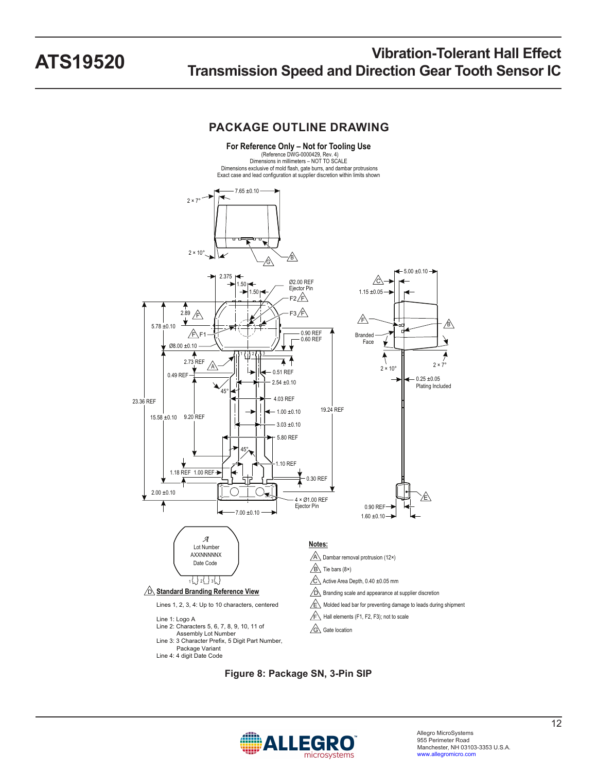### **PACKAGE OUTLINE DRAWING**



**Figure 8: Package SN, 3-Pin SIP**